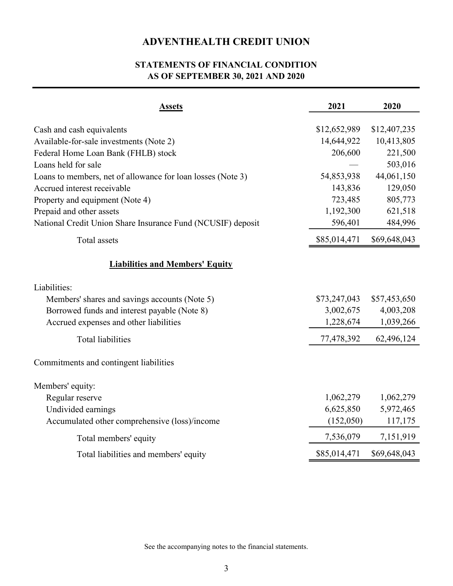## ADVENTHEALTH CREDIT UNION

## STATEMENTS OF FINANCIAL CONDITION AS OF SEPTEMBER 30, 2021 AND 2020

| <b>Assets</b>                                               | 2021                  | 2020                  |
|-------------------------------------------------------------|-----------------------|-----------------------|
|                                                             |                       |                       |
| Cash and cash equivalents                                   | \$12,652,989          | \$12,407,235          |
| Available-for-sale investments (Note 2)                     | 14,644,922<br>206,600 | 10,413,805<br>221,500 |
| Federal Home Loan Bank (FHLB) stock<br>Loans held for sale  |                       | 503,016               |
| Loans to members, net of allowance for loan losses (Note 3) | 54,853,938            | 44,061,150            |
| Accrued interest receivable                                 | 143,836               | 129,050               |
| Property and equipment (Note 4)                             | 723,485               | 805,773               |
| Prepaid and other assets                                    | 1,192,300             | 621,518               |
| National Credit Union Share Insurance Fund (NCUSIF) deposit | 596,401               | 484,996               |
| Total assets                                                | \$85,014,471          | \$69,648,043          |
| <b>Liabilities and Members' Equity</b>                      |                       |                       |
| Liabilities:                                                |                       |                       |
| Members' shares and savings accounts (Note 5)               | \$73,247,043          | \$57,453,650          |
| Borrowed funds and interest payable (Note 8)                | 3,002,675             | 4,003,208             |
| Accrued expenses and other liabilities                      | 1,228,674             | 1,039,266             |
| <b>Total liabilities</b>                                    | 77,478,392            | 62,496,124            |
| Commitments and contingent liabilities                      |                       |                       |
| Members' equity:                                            |                       |                       |
| Regular reserve                                             | 1,062,279             | 1,062,279             |
| Undivided earnings                                          | 6,625,850             | 5,972,465             |
| Accumulated other comprehensive (loss)/income               | (152,050)             | 117,175               |
| Total members' equity                                       | 7,536,079             | 7,151,919             |
| Total liabilities and members' equity                       | \$85,014,471          | \$69,648,043          |

See the accompanying notes to the financial statements.